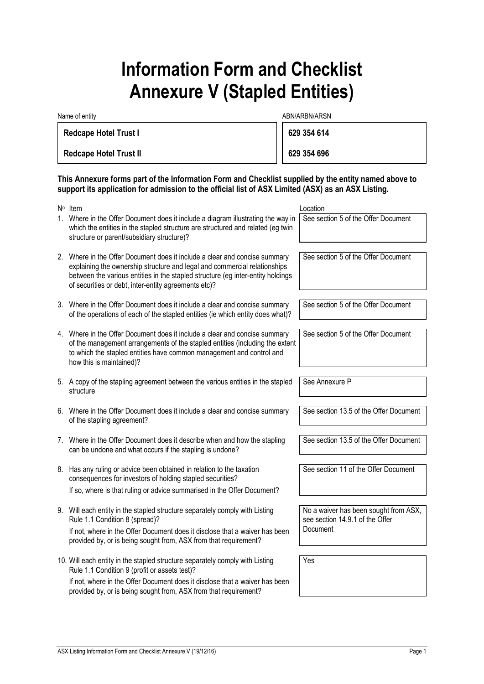## **Information Form and Checklist Annexure V (Stapled Entities)**

| Name of entity                | ABN/ARBN/ARSN |  |
|-------------------------------|---------------|--|
| <b>Redcape Hotel Trust I</b>  | 629 354 614   |  |
| <b>Redcape Hotel Trust II</b> | 629 354 696   |  |

## **This Annexure forms part of the Information Form and Checklist supplied by the entity named above to support its application for admission to the official list of ASX Limited (ASX) as an ASX Listing.**

| N° Item                                                                                                                                                                                                                                                                                            | Location                                                                 |
|----------------------------------------------------------------------------------------------------------------------------------------------------------------------------------------------------------------------------------------------------------------------------------------------------|--------------------------------------------------------------------------|
| 1. Where in the Offer Document does it include a diagram illustrating the way in<br>which the entities in the stapled structure are structured and related (eg twin<br>structure or parent/subsidiary structure)?                                                                                  | See section 5 of the Offer Document                                      |
| 2. Where in the Offer Document does it include a clear and concise summary<br>explaining the ownership structure and legal and commercial relationships<br>between the various entities in the stapled structure (eg inter-entity holdings<br>of securities or debt, inter-entity agreements etc)? | See section 5 of the Offer Document                                      |
| 3. Where in the Offer Document does it include a clear and concise summary<br>of the operations of each of the stapled entities (ie which entity does what)?                                                                                                                                       | See section 5 of the Offer Document                                      |
| 4. Where in the Offer Document does it include a clear and concise summary<br>of the management arrangements of the stapled entities (including the extent<br>to which the stapled entities have common management and control and<br>how this is maintained)?                                     | See section 5 of the Offer Document                                      |
| 5. A copy of the stapling agreement between the various entities in the stapled<br>structure                                                                                                                                                                                                       | See Annexure P                                                           |
| 6. Where in the Offer Document does it include a clear and concise summary<br>of the stapling agreement?                                                                                                                                                                                           | See section 13.5 of the Offer Document                                   |
| 7. Where in the Offer Document does it describe when and how the stapling<br>can be undone and what occurs if the stapling is undone?                                                                                                                                                              | See section 13.5 of the Offer Document                                   |
| 8. Has any ruling or advice been obtained in relation to the taxation<br>consequences for investors of holding stapled securities?<br>If so, where is that ruling or advice summarised in the Offer Document?                                                                                      | See section 11 of the Offer Document                                     |
|                                                                                                                                                                                                                                                                                                    |                                                                          |
| 9. Will each entity in the stapled structure separately comply with Listing<br>Rule 1.1 Condition 8 (spread)?                                                                                                                                                                                      | No a waiver has been sought from ASX,<br>see section 14.9.1 of the Offer |
| If not, where in the Offer Document does it disclose that a waiver has been<br>provided by, or is being sought from, ASX from that requirement?                                                                                                                                                    | Document                                                                 |
| 10. Will each entity in the stapled structure separately comply with Listing<br>Rule 1.1 Condition 9 (profit or assets test)?                                                                                                                                                                      | Yes                                                                      |
| If not, where in the Offer Document does it disclose that a waiver has been<br>provided by, or is being sought from, ASX from that requirement?                                                                                                                                                    |                                                                          |